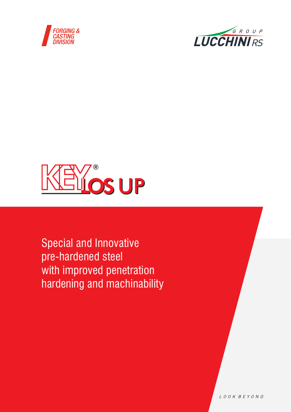





Special and Innovative pre-hardened steel with improved penetration hardening and machinability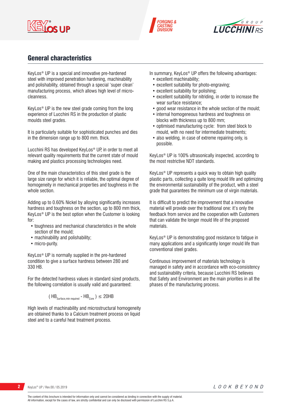





# General characteristics

KeyLos® UP is a special and innovative pre-hardened steel with improved penetration hardening, machinability and polishability, obtained through a special 'super clean' manufacturing process, which allows high level of microcleanness.

KeyLos® UP is the new steel grade coming from the long experience of Lucchini RS in the production of plastic moulds steel grades.

It is particularly suitable for sophisticated punches and dies in the dimension range up to 800 mm. thick.

Lucchini RS has developed KeyLos® UP, in order to meet all relevant quality requirements that the current state of mould making and plastics processing technologies need.

One of the main characteristics of this steel grade is the large size range for which it is reliable, the optimal degree of homogeneity in mechanical properties and toughness in the whole section.

Adding up to 0.60% Nickel by alloying significantly increases hardness and toughness on the section, up to 800 mm thick, KeyLos® UP is the best option when the Customer is looking for:

- toughness and mechanical characteristics in the whole section of the mould;
- machinability and polishability;
- micro-purity.

KeyLos® UP is normally supplied in the pre-hardened condition to give a surface hardness between 280 and 330 HB.

For the detected hardness values in standard sized products, the following correlation is usually valid and guaranteed:

$$
(\text{HB}_{\text{Surface,min required}} - \text{HB}_{\text{Core}})
$$
  $\leq$  20HB

High levels of machinability and microstructural homogeneity are obtained thanks to a Calcium treatment process on liquid steel and to a careful heat treatment process.

In summary, KeyLos<sup>®</sup> UP offers the following advantages:

- excellent machinability;
- excellent suitability for photo-engraving;
- excellent suitability for polishing;
- excellent suitability for nitriding, in order to increase the wear surface resistance;
- good wear resistance in the whole section of the mould;
- internal homogeneous hardness and toughness on blocks with thickness up to 800 mm;
- optimised manufacturing cycle: from steel block to mould, with no need for intermediate treatments;
- also welding, in case of extreme repairing only, is possible.

KeyLos® UP is 100% ultrasonically inspected, according to the most restrictive NDT standards.

KeyLos® UP represents a quick way to obtain high quality plastic parts, collecting a quite long mould life and optimizing the environmental sustainability of the product, with a steel grade that guarantees the minimum use of virgin materials.

It is difficult to predict the improvement that a innovative material will provide over the traditional one: it's only the feedback from service and the cooperation with Customers that can validate the longer mould life of the proposed materials.

KeyLos® UP is demonstrating good resistance to fatigue in many applications and a significantly longer mould life than conventional steel grades.

Continuous improvement of materials technology is managed in safety and in accordance with eco-consistency and sustainability criteria, because Lucchini RS believes that Safety and Environment are the main priorities in all the phases of the manufacturing process.

**2** KeyLos® UP / Rev.00 / 05.2019

LOOK BEYOND

The content of this brochure is intended for information only and cannot be considered as binding in connection with the supply of material. All information, except for the cases of law, are strictly confidential and can only be disclosed with permission of Lucchini RS S.p.A.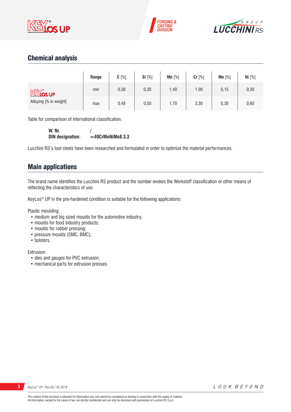





# Chemical analysis

|                             | Range | $C[\%]$ | <b>Si</b> [%] | $Mn$ [%] | Cr [%] | Mo [%] | Ni [%] |
|-----------------------------|-------|---------|---------------|----------|--------|--------|--------|
| <b>KEY</b> <sub>os</sub> up | min   | 0,38    | 0,20          | 1,40     | 1,90   | 0,15   | 0,30   |
| Alloying [% in weight]      | max   | 0,48    | 0,50          | 1,70     | 2,30   | 0,30   | 0,60   |

Table for comparison of international classification.

**W. Nr.** /<br>DIN designation:  $\approx$  $\approx$ 40CrMnNiMo8.3.3

Lucchini RS's tool steels have been researched and formulated in order to optimize the material performances.

# Main applications

The brand name identifies the Lucchini RS product and the number evokes the Werkstoff classification or other means of reflecting the characteristics of use.

KeyLos® UP in the pre-hardened condition is suitable for the following applications:

Plastic moulding:

- medium and big sized moulds for the automotive industry;
- moulds for food industry products;
- moulds for rubber pressing;
- pressure moulds (SMC, BMC);
- bolsters.

Extrusion:

- dies and gauges for PVC extrusion;
- mechanical parts for extrusion presses.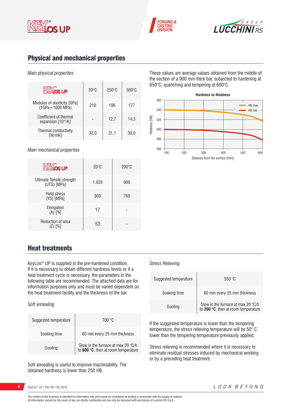





# Physical and mechanical properties

### *Main physical properties*

| <b>KEY</b> os up                                   | $20^{\circ}$ C | $250^\circ C$ | $500\degree C$ |
|----------------------------------------------------|----------------|---------------|----------------|
| Modulus of elasticity [GPa]<br>$(1GPa = 1000 MPa)$ | 210            | 196           | 177            |
| Coefficient of thermal<br>expansion $[10-6/K]$     |                | 12.7          | 14.3           |
| Thermal conductivity<br>[W/mK]                     | 32.0           | 31,1          | 30.0           |

*Main mechanical properties*

| <b>KEY</b> <sub>os UP</sub>              | $20^{\circ}$ C | $200^{\circ}$ C |
|------------------------------------------|----------------|-----------------|
| Ultimate Tensile strength<br>(UTS) [MPa] | 1.020          | 900             |
| <b>Yield stress</b><br>(YS) [MPa]        | 900            | 760             |
| Elongation<br>$(A)$ $[%]$                | 17             |                 |
| Reduction of area<br>$(Z)$ [%]           | 53             |                 |

# Heat treatments

KeyLos® UP is supplied in the pre-hardened condition. If it is necessary to obtain different hardness levels or if a heat treatment cycle is necessary, the parameters in the following table are recommended. The attached data are for information purposes only and must be varied dependent on the heat treatment facility and the thickness of the bar.

### *Soft annealing*

| Suggested temperature | 700 °C                                                                             |
|-----------------------|------------------------------------------------------------------------------------|
| Soaking time          | 60 min every 25 mm thickness                                                       |
| Cooling               | Slow in the furnace at max 20 $\degree$ C/h<br>to 600 °C, then at room temperature |

Soft annealing is useful to improve machinability. The obtained hardness is lower than 250 HB.

These values are average values obtained from the middle of the section of a 900 mm thick bar, subjected to hardening at 850°C, quenching and tempering at 600°C.



### *Stress Relieving*

| Suggested temperature | 550 °C                                                                             |
|-----------------------|------------------------------------------------------------------------------------|
| Soaking time          | 60 min every 25 mm thickness                                                       |
| Cooling               | Slow in the furnace at max 20 $\degree$ C/h<br>to 200 °C, then at room temperature |

If the suggested temperature is lower than the tempering temperature, the stress relieving temperature will be 50° C lower than the tempering temperature previously applied.

Stress relieving is recommended where it is necessary to eliminate residual stresses induced by mechanical working or by a preceding heat treatment.

KeyLos® UP / Rev.00 / 05.2019

The content of this brochure is intended for information only and cannot be considered as binding in connection with the supply of material. All information, except for the cases of law, are strictly confidential and can only be disclosed with permission of Lucchini RS S.p.A.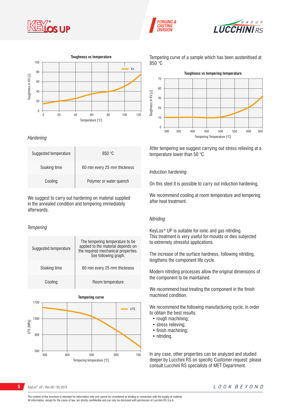







*Hardening*

| Suggested temperature | 850 °C                       |
|-----------------------|------------------------------|
| Soaking time          | 60 min every 25 mm thickness |
| Cooling               | Polymer or water quench      |

We suggest to carry out hardening on material supplied in the annealed condition and tempering immediately afterwards.

### *Tempering*

| Suggested temperature | The tempering temperature to be.<br>applied to the material depends on<br>the required mechanical properties.<br>See following graph. |  |
|-----------------------|---------------------------------------------------------------------------------------------------------------------------------------|--|
| Soaking time          | 60 min every 25 mm thickness                                                                                                          |  |
| Cooling               | Room temperature                                                                                                                      |  |



Tempering curve of a sample which has been austenitised at 850 °C



After tempering we suggest carrying out stress relieving at a temperature lower than 50 °C.

### *Induction hardening*

On this steel it is possible to carry out induction hardening.

We recommend cooling at room temperature and tempering after heat treatment.

### *Nitriding*

KeyLos® UP is suitable for ionic and gas nitriding. This treatment is very useful for moulds or dies subjected to extremely stressful applications.

The increase of the surface hardness, following nitriding, lengthens the component life cycle.

Modern nitriding processes allow the original dimensions of the component to be maintained.

We recommend heat treating the component in the finish machined condition.

We recommend the following manufacturing cycle, in order to obtain the best results:

- rough machining;
- stress relieving;
- finish machining;
- nitriding.

In any case, other properties can be analyzed and studied deeper by Lucchini RS on specific Customer request: please consult Lucchini RS specialists of MET Department.

**5** KeyLos® UP / Rev.00 / 05.2019

The content of this brochure is intended for information only and cannot be considered as binding in connection with the supply of material. All information, except for the cases of law, are strictly confidential and can only be disclosed with permission of Lucchini RS S.p.A.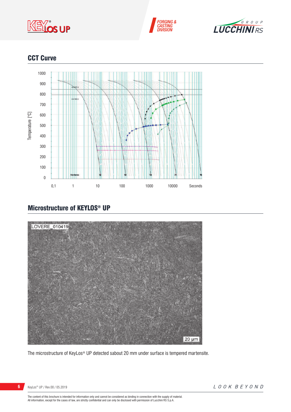





# **CCT Curve**



# Microstructure of KEYLOS® UP



The microstructure of KeyLos® UP detected sabout 20 mm under surface is tempered martensite.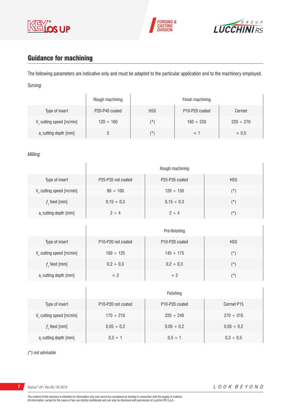





# Guidance for machining

The following parameters are indicative only and must be adapted to the particular application and to the machinery employed. *Turning*

|                                      | Rough machining |            | Finish machining                        |                |
|--------------------------------------|-----------------|------------|-----------------------------------------|----------------|
| Type of insert                       | P20-P40 coated  | <b>HSS</b> | P <sub>10</sub> -P <sub>20</sub> coated | Cermet         |
| V <sub>c</sub> cutting speed [m/min] | $120 \div 160$  | (*)        | $160 \div 220$                          | $220 \div 270$ |
| a, cutting depth [mm]                | C               | (*`        |                                         | < 0.5          |

### *Milling*

|                             | Rough machining    |                                         |            |
|-----------------------------|--------------------|-----------------------------------------|------------|
| Type of insert              | P25-P35 not coated | P <sub>25</sub> -P <sub>35</sub> coated | <b>HSS</b> |
| $V_c$ cutting speed [m/min] | $80 \div 100$      | $120 \div 150$                          | $(\star)$  |
| $fz$ feed [mm]              | $0,15 \div 0,3$    | $0,15 \div 0,3$                         | $(\star)$  |
| $ar$ cutting depth [mm]     | $2 \div 4$         | $2 \div 4$                              | $(\star)$  |

|                         | Pre-finishing                                      |                                         |            |
|-------------------------|----------------------------------------------------|-----------------------------------------|------------|
| Type of insert          | P <sub>10</sub> -P <sub>20</sub> not coated        | P <sub>10</sub> -P <sub>20</sub> coated | <b>HSS</b> |
| V cutting speed [m/min] | $100 \div 125$                                     | $145 \div 175$                          | (*)        |
| $f$ , feed [mm]         | $0,2 \div 0,3$                                     | $0,2 \div 0,3$                          | $(\star)$  |
| a, cutting depth [mm]   | </td <td>&lt; 2</td> <td><math>(\star)</math></td> | < 2                                     | $(\star)$  |

|                                      | Finishing                                   |                                         |                 |
|--------------------------------------|---------------------------------------------|-----------------------------------------|-----------------|
| Type of insert                       | P <sub>10</sub> -P <sub>20</sub> not coated | P <sub>10</sub> -P <sub>20</sub> coated | Cermet P15      |
| V <sub>c</sub> cutting speed [m/min] | $170 \div 210$                              | $220 \div 240$                          | $270 \div 310$  |
| $f$ , feed [mm]                      | $0,05 \div 0,2$                             | $0,05 \div 0,2$                         | $0,05 \div 0,2$ |
| a, cutting depth [mm]                | $0.5 \div 1$                                | $0.5 \div 1$                            | $0,3 \div 0,5$  |

*(\*) not advisable*

**7** KeyLos® UP / Rev.00 / 05.2019

Ï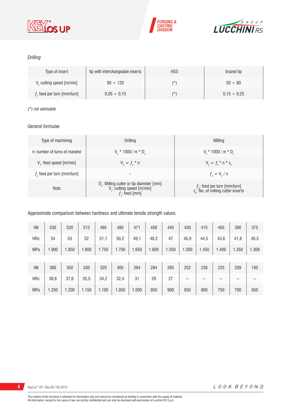





### *Drilling*

| Type of insert                       | tip with interchangeable inserts | <b>HSS</b> | brazed tip       |
|--------------------------------------|----------------------------------|------------|------------------|
| V <sub>c</sub> cutting speed [m/min] | $90 \div 120$                    | $(\star)$  | $50 \div 80$     |
| $fz$ feed per turn [mm/turn]         | $0.05 \div 0.15$                 | $(\star)$  | $0.15 \div 0.25$ |

### *(\*) not advisable*

### *General formulae*

| Type of machining             | Drilling                                                                                                          | Milling                                                                             |
|-------------------------------|-------------------------------------------------------------------------------------------------------------------|-------------------------------------------------------------------------------------|
| n: number of turns of mandrel | $V_r * 1000 / \pi * D_r$                                                                                          | $V_r * 1000 / \pi * D_r$                                                            |
| $Vf$ : feed speed [m/min]     | $V_{f} = f_{7}$ * n                                                                                               | $V_{f} = f_{z}$ * n * z <sub>n</sub>                                                |
| $fz$ feed per turn [mm/turn]  | $\overline{\phantom{a}}$                                                                                          | $f_{n} = V_{f} / n$                                                                 |
| <b>Note</b>                   | D <sub>r</sub> : Milling cutter or tip diameter [mm]<br>V <sub>c</sub> : cutting speed [m/min]<br>$f$ ; feed [mm] | $f_{n}$ : feed per turn [mm/turn]<br>z <sub>n</sub> : No. of milling cutter inserts |

### Approximate comparison between hardness and ultimate tensile strength values.

| HB         | 530   | 520   | 512   | 495   | 480   | 471   | 458   | 445   | 430   | 415   | 405   | 390   | 375   |
|------------|-------|-------|-------|-------|-------|-------|-------|-------|-------|-------|-------|-------|-------|
| <b>HRc</b> | 54    | 53    | 52    | 51,1  | 50,2  | 49,1  | 48,2  | 47    | 45,9  | 44,5  | 43,6  | 41,8  | 40,5  |
| <b>MPa</b> | 1.900 | 1.850 | 1.800 | 1.750 | 1.700 | 1.650 | 1.600 | 1.550 | 1.500 | 1.450 | 1.400 | 1.350 | 1.300 |
|            |       |       |       |       |       |       |       |       |       |       |       |       |       |
| HB         | 360   | 350   | 330   | 320   | 305   | 294   | 284   | 265   | 252   | 238   | 225   | 209   | 195   |
| <b>HRc</b> | 38,8  | 37,6  | 35,5  | 34,2  | 32,4  | 31    | 29    | 27    | --    | --    | --    | --    | $-$   |
| <b>MPa</b> | 1.250 | 1.200 | 1.150 | 1.100 | 1.050 | 1.000 | 950   | 900   | 850   | 800   | 750   | 700   | 650   |